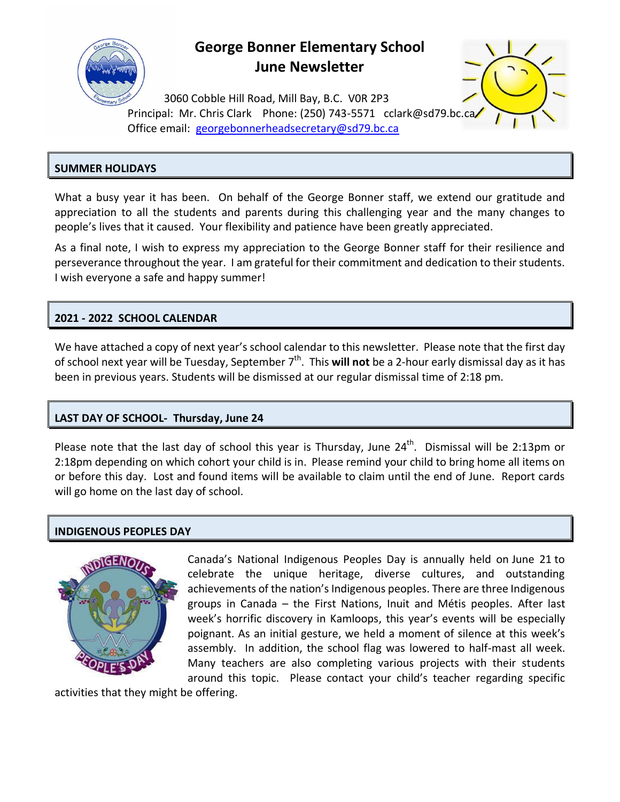

## **George Bonner Elementary School June Newsletter**



3060 Cobble Hill Road, Mill Bay, B.C. V0R 2P3 Principal: Mr. Chris Clark Phone: (250) 743-5571 [cclark@sd79.bc.ca](mailto:cclark@sd79.bc.ca)/ Office email: [georgebonnerheadsecretary@sd79.bc.ca](mailto:georgebonnerheadsecretary@sd79.bc.ca)

## **SUMMER HOLIDAYS**

What a busy year it has been. On behalf of the George Bonner staff, we extend our gratitude and appreciation to all the students and parents during this challenging year and the many changes to people's lives that it caused. Your flexibility and patience have been greatly appreciated.

As a final note, I wish to express my appreciation to the George Bonner staff for their resilience and perseverance throughout the year. I am grateful for their commitment and dedication to their students. I wish everyone a safe and happy summer!

## **2021 - 2022 SCHOOL CALENDAR**

We have attached a copy of next year's school calendar to this newsletter. Please note that the first day of school next year will be Tuesday, September 7<sup>th</sup>. This **will not** be a 2-hour early dismissal day as it has been in previous years. Students will be dismissed at our regular dismissal time of 2:18 pm.

## **LAST DAY OF SCHOOL- Thursday, June 24**

Please note that the last day of school this year is Thursday, June  $24<sup>th</sup>$ . Dismissal will be 2:13pm or 2:18pm depending on which cohort your child is in. Please remind your child to bring home all items on or before this day. Lost and found items will be available to claim until the end of June. Report cards will go home on the last day of school.

## **INDIGENOUS PEOPLES DAY**



Canada's National Indigenous Peoples Day is annually held on June 21 to celebrate the unique heritage, diverse cultures, and outstanding achievements of the nation's Indigenous peoples. There are three Indigenous groups in Canada – the First Nations, Inuit and Métis peoples. After last week's horrific discovery in Kamloops, this year's events will be especially poignant. As an initial gesture, we held a moment of silence at this week's assembly. In addition, the school flag was lowered to half-mast all week. Many teachers are also completing various projects with their students around this topic. Please contact your child's teacher regarding specific

activities that they might be offering.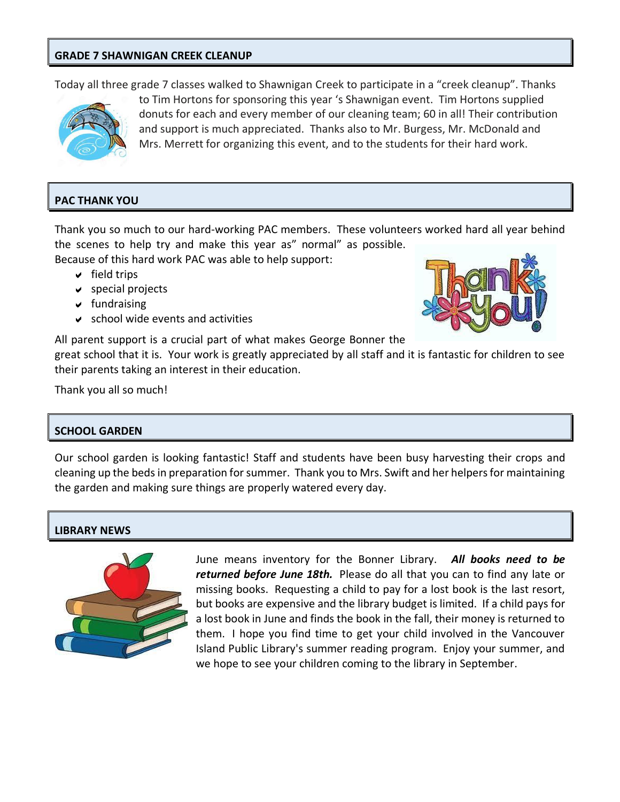### **GRADE 7 SHAWNIGAN CREEK CLEANUP**

Today all three grade 7 classes walked to Shawnigan Creek to participate in a "creek cleanup". Thanks



to Tim Hortons for sponsoring this year 's Shawnigan event. Tim Hortons supplied donuts for each and every member of our cleaning team; 60 in all! Their contribution and support is much appreciated. Thanks also to Mr. Burgess, Mr. McDonald and Mrs. Merrett for organizing this event, and to the students for their hard work.

## **PAC THANK YOU**

Thank you so much to our hard-working PAC members. These volunteers worked hard all year behind the scenes to help try and make this year as" normal" as possible.

Because of this hard work PAC was able to help support:

- $\vee$  field trips
- $\vee$  special projects
- $\sqrt{}$  fundraising
- $\vee$  school wide events and activities



All parent support is a crucial part of what makes George Bonner the great school that it is. Your work is greatly appreciated by all staff and it is fantastic for children to see their parents taking an interest in their education.

Thank you all so much!

#### **SCHOOL GARDEN**

Our school garden is looking fantastic! Staff and students have been busy harvesting their crops and cleaning up the beds in preparation for summer. Thank you to Mrs. Swift and her helpers for maintaining the garden and making sure things are properly watered every day.

## **LIBRARY NEWS**



June means inventory for the Bonner Library. *All books need to be returned before June 18th.* Please do all that you can to find any late or missing books. Requesting a child to pay for a lost book is the last resort, but books are expensive and the library budget is limited. If a child pays for a lost book in June and finds the book in the fall, their money is returned to them. I hope you find time to get your child involved in the Vancouver Island Public Library's summer reading program. Enjoy your summer, and we hope to see your children coming to the library in September.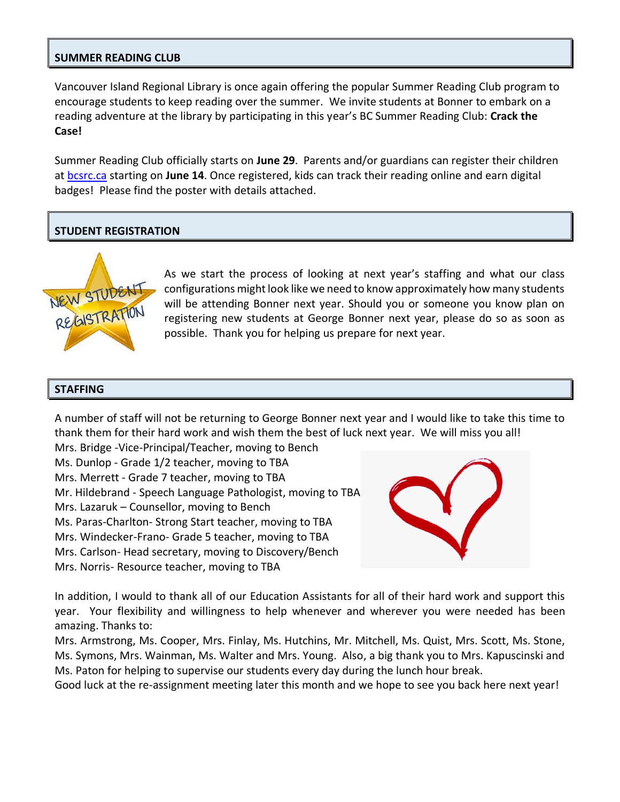#### **SUMMER READING CLUB**

Vancouver Island Regional Library is once again offering the popular Summer Reading Club program to encourage students to keep reading over the summer. We invite students at Bonner to embark on a reading adventure at the library by participating in this year's BC Summer Reading Club: **Crack the Case!**

Summer Reading Club officially starts on **June 29**. Parents and/or guardians can register their children at [bcsrc.ca](https://bcsrc.ca/) starting on **June 14**. Once registered, kids can track their reading online and earn digital badges! Please find the poster with details attached.

#### **STUDENT REGISTRATION**



As we start the process of looking at next year's staffing and what our class configurations might look like we need to know approximately how many students will be attending Bonner next year. Should you or someone you know plan on registering new students at George Bonner next year, please do so as soon as possible. Thank you for helping us prepare for next year.

#### **STAFFING**

A number of staff will not be returning to George Bonner next year and I would like to take this time to thank them for their hard work and wish them the best of luck next year. We will miss you all!

Mrs. Bridge -Vice-Principal/Teacher, moving to Bench Ms. Dunlop - Grade 1/2 teacher, moving to TBA Mrs. Merrett - Grade 7 teacher, moving to TBA Mr. Hildebrand - Speech Language Pathologist, moving to TBA Mrs. Lazaruk – Counsellor, moving to Bench Ms. Paras-Charlton- Strong Start teacher, moving to TBA Mrs. Windecker-Frano- Grade 5 teacher, moving to TBA Mrs. Carlson- Head secretary, moving to Discovery/Bench Mrs. Norris- Resource teacher, moving to TBA



In addition, I would to thank all of our Education Assistants for all of their hard work and support this year. Your flexibility and willingness to help whenever and wherever you were needed has been amazing. Thanks to:

Mrs. Armstrong, Ms. Cooper, Mrs. Finlay, Ms. Hutchins, Mr. Mitchell, Ms. Quist, Mrs. Scott, Ms. Stone, Ms. Symons, Mrs. Wainman, Ms. Walter and Mrs. Young. Also, a big thank you to Mrs. Kapuscinski and Ms. Paton for helping to supervise our students every day during the lunch hour break.

Good luck at the re-assignment meeting later this month and we hope to see you back here next year!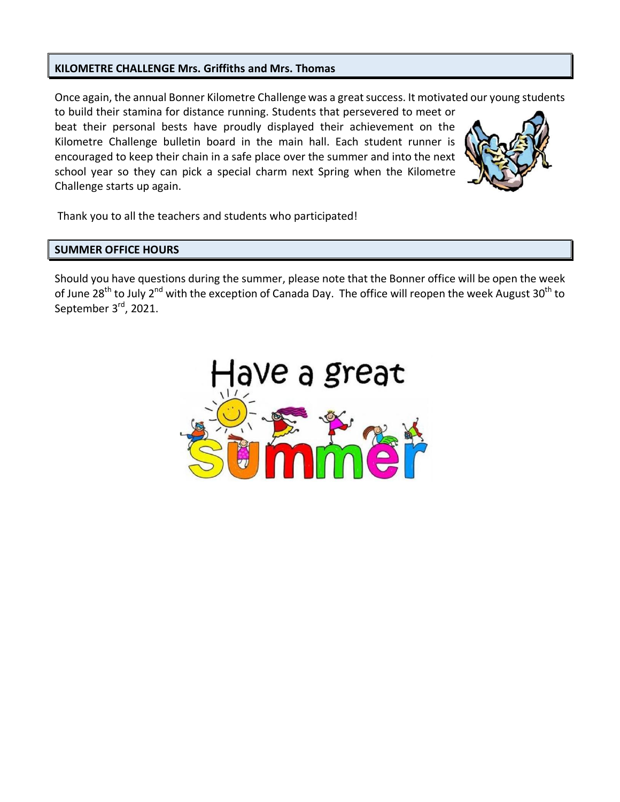#### **KILOMETRE CHALLENGE Mrs. Griffiths and Mrs. Thomas**

Once again, the annual Bonner Kilometre Challenge was a great success. It motivated our young students

to build their stamina for distance running. Students that persevered to meet or beat their personal bests have proudly displayed their achievement on the Kilometre Challenge bulletin board in the main hall. Each student runner is encouraged to keep their chain in a safe place over the summer and into the next school year so they can pick a special charm next Spring when the Kilometre Challenge starts up again.



Thank you to all the teachers and students who participated!

#### **SUMMER OFFICE HOURS**

Should you have questions during the summer, please note that the Bonner office will be open the week of June 28<sup>th</sup> to July 2<sup>nd</sup> with the exception of Canada Day. The office will reopen the week August 30<sup>th</sup> to September 3<sup>rd</sup>, 2021.